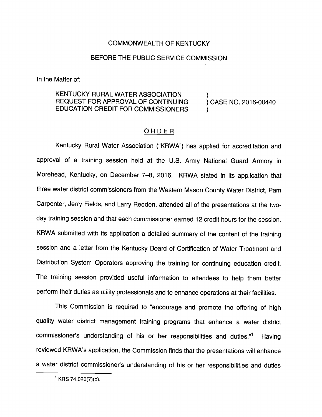## COMMONWEALTH OF KENTUCKY

## BEFORE THE PUBLIC SERVICE COMMISSION

In the Matter of:

## KENTUCKY RURAL WATER ASSOCIATION ) REQUEST FOR APPROVAL OF CONTINUING ) CASE NO. 2016-00440 EDUCATION CREDIT FOR COMMISSIONERS )

## ORDER

Kentucky Rural Water Association ("KRWA") has applied for accreditation and approval of a training session held at the U.S. Army National Guard Armory in Morehead, Kentucky, on December 7-8, 2016. KRWA stated in its application that three water district commissioners from the Western Mason County Water District, Pam Carpenter, Jerry Fields, and Larry Redden, attended all of the presentations at the twoday training session and that each commissioner earned 12 credit hours for the session. KRWA submitted with its application a detailed summary of the content of the training session and a letter from the Kentucky Board of Certification of Water Treatment and Distribution System Operators approving the training for continuing education credit. The training session provided useful information to attendees to help them better perform their duties as utility professionals and to enhance operations at their facilities.

This Commission is required to "encourage and promote the offering of high quality water district management training programs that enhance a water district commissioner's understanding of his or her responsibilities and duties."<sup>1</sup> Having reviewed KRWA's application, the Commission finds that the presentations will enhance a water district commissioner's understanding of his or her responsibilities and duties

 $^1$  KRS 74.020(7)(c).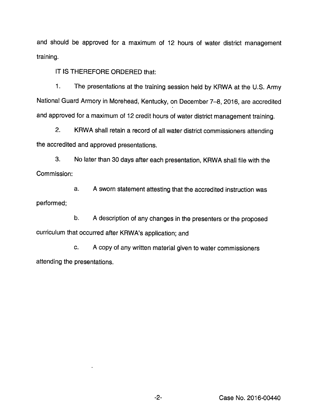and should be approved for a maximum of 12 hours of water district management training.

IT IS THEREFORE ORDERED that:

1. The presentations at the training session held by KRWA at the U.S. Army National Guard Armory in Morehead, Kentucky, on December 7-8, 2016, are accredited and approved for a maximum of 12 credit hours of water district management training.

2. KRWA shall retain a record of all water district commissioners attending the accredited and approved presentations.

3. No later than 30 days after each presentation, KRWA shall file with the Commission:

a. A sworn statement attesting that the accredited instruction was performed;

b. Adescription of any changes in the presenters or the proposed curriculum that occurred after KRWA's application; and

c. A copy of any written material given to water commissioners attending the presentations.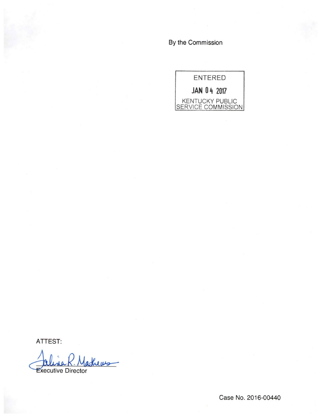By the Commission



ATTEST:

lathews Executive Director

Case No. 2016-00440